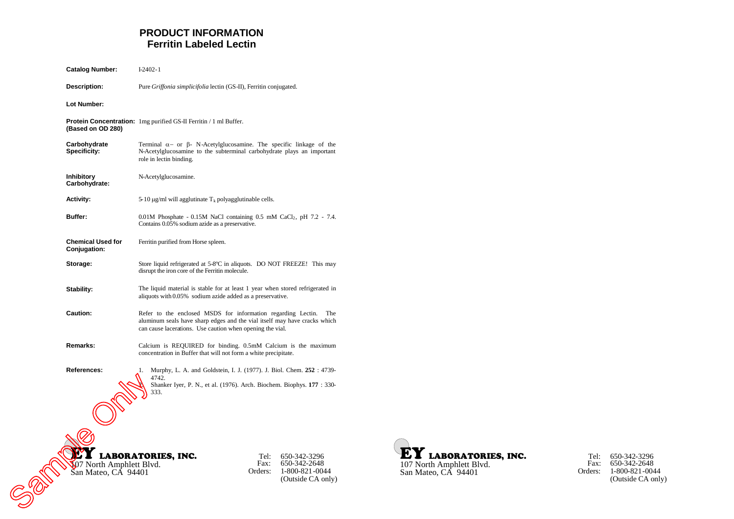# **PRODUCT INFORMATION Ferritin Labeled Lectin**

| <b>Catalog Number:</b>                         | $I-2402-1$                                                                                                                                                                                                    |
|------------------------------------------------|---------------------------------------------------------------------------------------------------------------------------------------------------------------------------------------------------------------|
| Description:                                   | Pure Griffonia simplicifolia lectin (GS-II), Ferritin conjugated.                                                                                                                                             |
| Lot Number:                                    |                                                                                                                                                                                                               |
| (Based on OD 280)                              | <b>Protein Concentration:</b> 1mg purified GS-II Ferritin / 1 ml Buffer.                                                                                                                                      |
| Carbohydrate<br><b>Specificity:</b>            | Terminal $\alpha$ - or $\beta$ - N-Acetylglucosamine. The specific linkage of the<br>N-Acetylglucosamine to the subterminal carbohydrate plays an important<br>role in lectin binding.                        |
| <b>Inhibitory</b><br>Carbohydrate:             | N-Acetylglucosamine.                                                                                                                                                                                          |
| <b>Activity:</b>                               | 5-10 $\mu$ g/ml will agglutinate T <sub>k</sub> polyagglutinable cells.                                                                                                                                       |
| Buffer:                                        | $0.01M$ Phosphate - 0.15M NaCl containing 0.5 mM CaCl <sub>2</sub> , pH 7.2 - 7.4.<br>Contains 0.05% sodium azide as a preservative.                                                                          |
| <b>Chemical Used for</b><br>Conjugation:       | Ferritin purified from Horse spleen.                                                                                                                                                                          |
| Storage:                                       | Store liquid refrigerated at 5-8°C in aliquots. DO NOT FREEZE! This may<br>disrupt the iron core of the Ferritin molecule.                                                                                    |
| Stability:                                     | The liquid material is stable for at least 1 year when stored refrigerated in<br>aliquots with 0.05% sodium azide added as a preservative.                                                                    |
| <b>Caution:</b>                                | Refer to the enclosed MSDS for information regarding Lectin.<br>The<br>aluminum seals have sharp edges and the vial itself may have cracks which<br>can cause lacerations. Use caution when opening the vial. |
| Remarks:                                       | Calcium is REQUIRED for binding. 0.5mM Calcium is the maximum<br>concentration in Buffer that will not form a white precipitate.                                                                              |
| References:                                    | Murphy, L. A. and Goldstein, I. J. (1977). J. Biol. Chem. 252:4739-<br>1.<br>4742.<br>Shanker Iyer, P. N., et al. (1976). Arch. Biochem. Biophys. 177: 330-<br>333.                                           |
|                                                |                                                                                                                                                                                                               |
| 07 North Amphlett Blvd.<br>San Mateo, CA 94401 | <b>LABORATORIES, INC.</b><br>650-342-3296<br>Tel:<br>650-342-2648<br>Fax:<br>1-800-821-0044<br>Orders:<br>(Outside CA only)                                                                                   |



| Tel:<br>Fast: | 650-342-3296<br>650-342-2648 |
|---------------|------------------------------|
| Orders:       | 1-800-821-0044               |
|               | (Outside CA only)            |